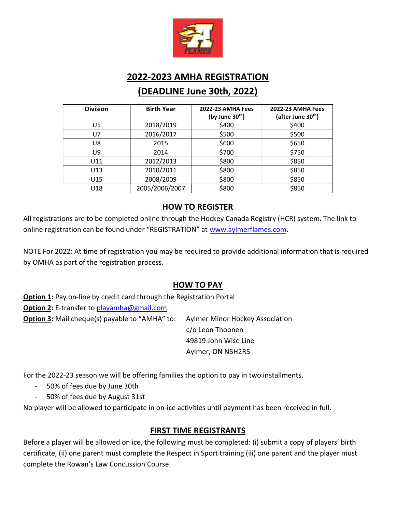

# 2022-2023 AMHA REGISTRATION (DEADLINE June 30th, 2022)

| <b>Division</b> | <b>Birth Year</b> | <b>2022-23 AMHA Fees</b><br>(by June 30th) | <b>2022-23 AMHA Fees</b><br>(after June 30 <sup>th</sup> ) |
|-----------------|-------------------|--------------------------------------------|------------------------------------------------------------|
| U5              | 2018/2019         | \$400                                      | \$400                                                      |
| U7              | 2016/2017         | \$500                                      | \$500                                                      |
| U8              | 2015              | \$600                                      | \$650                                                      |
| U9              | 2014              | \$700                                      | \$750                                                      |
| U11             | 2012/2013         | \$800                                      | \$850                                                      |
| U13             | 2010/2011         | \$800                                      | \$850                                                      |
| U15             | 2008/2009         | \$800                                      | \$850                                                      |
| U18             | 2005/2006/2007    | \$800                                      | \$850                                                      |

### HOW TO REGISTER

All registrations are to be completed online through the Hockey Canada Registry (HCR) system. The link to online registration can be found under "REGISTRATION" at www.aylmerflames.com.

NOTE For 2022: At time of registration you may be required to provide additional information that is required by OMHA as part of the registration process.

#### HOW TO PAY

Option 1: Pay on-line by credit card through the Registration Portal Option 2: E-transfer to playamha@gmail.com **Option 3:** Mail cheque(s) payable to "AMHA" to: Aylmer Minor Hockey Association c/o Leon Thoonen

 49819 John Wise Line Aylmer, ON N5H2R5

For the 2022-23 season we will be offering families the option to pay in two installments.

- 50% of fees due by June 30th
- 50% of fees due by August 31st

No player will be allowed to participate in on-ice activities until payment has been received in full.

#### FIRST TIME REGISTRANTS

Before a player will be allowed on ice, the following must be completed: (i) submit a copy of players' birth certificate, (ii) one parent must complete the Respect in Sport training (iii) one parent and the player must complete the Rowan's Law Concussion Course.